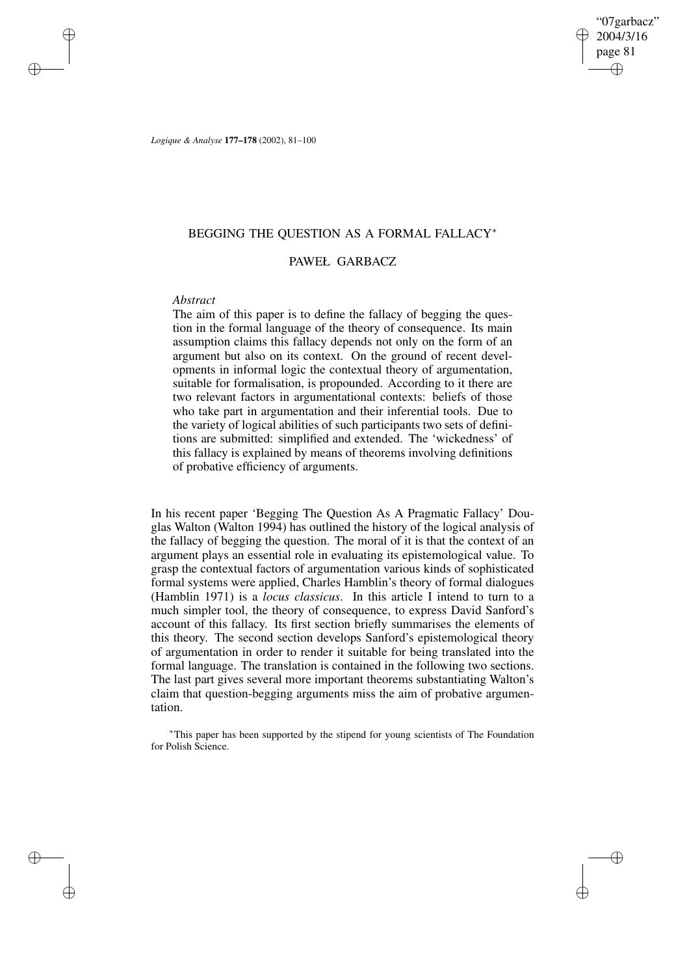"07garbacz" 2004/3/16 page 81 ✐ ✐

✐

✐

*Logique & Analyse* **177–178** (2002), 81–100

## BEGGING THE QUESTION AS A FORMAL FALLACY<sup>∗</sup>

# PAWEŁ GARBACZ

# *Abstract*

✐

✐

✐

✐

The aim of this paper is to define the fallacy of begging the question in the formal language of the theory of consequence. Its main assumption claims this fallacy depends not only on the form of an argument but also on its context. On the ground of recent developments in informal logic the contextual theory of argumentation, suitable for formalisation, is propounded. According to it there are two relevant factors in argumentational contexts: beliefs of those who take part in argumentation and their inferential tools. Due to the variety of logical abilities of such participants two sets of definitions are submitted: simplified and extended. The 'wickedness' of this fallacy is explained by means of theorems involving definitions of probative efficiency of arguments.

In his recent paper 'Begging The Question As A Pragmatic Fallacy' Douglas Walton (Walton 1994) has outlined the history of the logical analysis of the fallacy of begging the question. The moral of it is that the context of an argument plays an essential role in evaluating its epistemological value. To grasp the contextual factors of argumentation various kinds of sophisticated formal systems were applied, Charles Hamblin's theory of formal dialogues (Hamblin 1971) is a *locus classicus*. In this article I intend to turn to a much simpler tool, the theory of consequence, to express David Sanford's account of this fallacy. Its first section briefly summarises the elements of this theory. The second section develops Sanford's epistemological theory of argumentation in order to render it suitable for being translated into the formal language. The translation is contained in the following two sections. The last part gives several more important theorems substantiating Walton's claim that question-begging arguments miss the aim of probative argumentation.

<sup>∗</sup>This paper has been supported by the stipend for young scientists of The Foundation for Polish Science.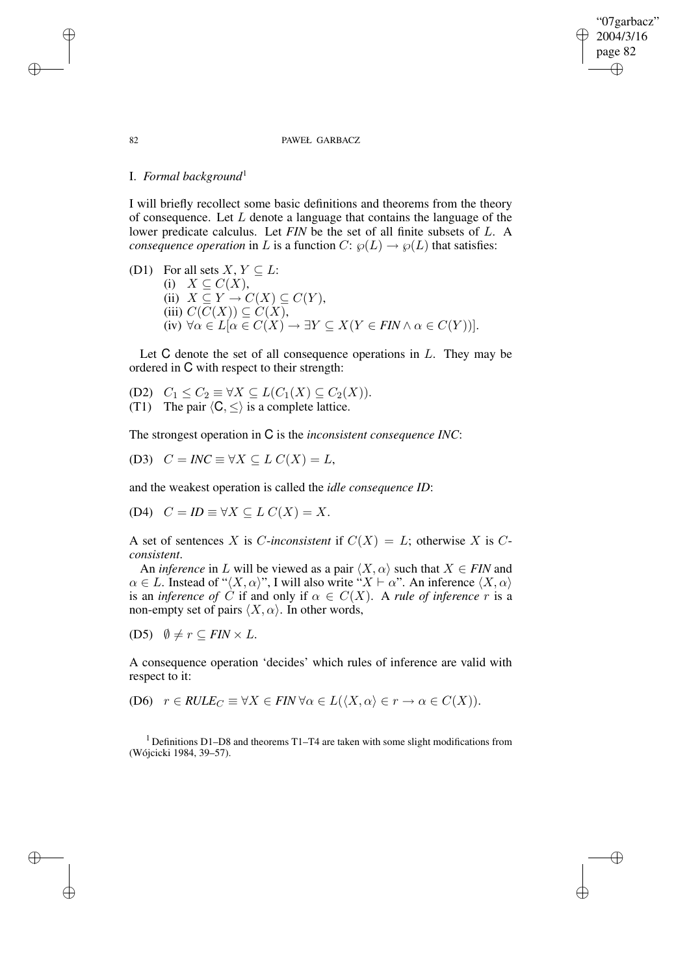#### 82 PAWEŁ GARBACZ

"07garbacz" 2004/3/16 page 82

✐

✐

✐

✐

## I. *Formal background*<sup>1</sup>

I will briefly recollect some basic definitions and theorems from the theory of consequence. Let  $L$  denote a language that contains the language of the lower predicate calculus. Let *FIN* be the set of all finite subsets of L. A *consequence operation* in L is a function  $C: \wp(L) \to \wp(L)$  that satisfies:

(D1) For all sets  $X, Y \subseteq L$ : (i)  $X \subseteq C(X)$ , (ii)  $X \subseteq Y \to C(X) \subseteq C(Y)$ , (iii)  $C(C(X)) \subseteq C(X)$ , (iv)  $\forall \alpha \in L[\alpha \in C(X) \rightarrow \exists Y \subseteq X(Y \in FIN \land \alpha \in C(Y))].$ 

Let  $C$  denote the set of all consequence operations in  $L$ . They may be ordered in C with respect to their strength:

(D2)  $C_1 \leq C_2 \equiv \forall X \subseteq L(C_1(X) \subseteq C_2(X)).$ (T1) The pair  $\langle C, \leq \rangle$  is a complete lattice.

The strongest operation in C is the *inconsistent consequence INC*:

(D3)  $C = INC \equiv \forall X \subseteq L C(X) = L$ ,

and the weakest operation is called the *idle consequence ID*:

(D4)  $C = ID \equiv \forall X \subseteq L C(X) = X$ .

A set of sentences X is C-inconsistent if  $C(X) = L$ ; otherwise X is C*consistent*.

An *inference* in L will be viewed as a pair  $\langle X, \alpha \rangle$  such that  $X \in FIN$  and  $\alpha \in L$ . Instead of " $\langle X, \alpha \rangle$ ", I will also write " $X \vdash \alpha$ ". An inference  $\langle X, \alpha \rangle$ is an *inference* of  $\dot{C}$  if and only if  $\alpha \in C(X)$ . A *rule* of *inference* r is a non-empty set of pairs  $\langle X, \alpha \rangle$ . In other words,

(D5)  $\emptyset \neq r \subseteq FIN \times L$ .

A consequence operation 'decides' which rules of inference are valid with respect to it:

(D6)  $r \in \text{RULE}_C \equiv \forall X \in \text{FIN} \,\forall \alpha \in L(\langle X, \alpha \rangle \in r \to \alpha \in C(X)).$ 

<sup>1</sup> Definitions D1–D8 and theorems T1–T4 are taken with some slight modifications from (Wójcicki 1984, 39–57).

✐

✐

✐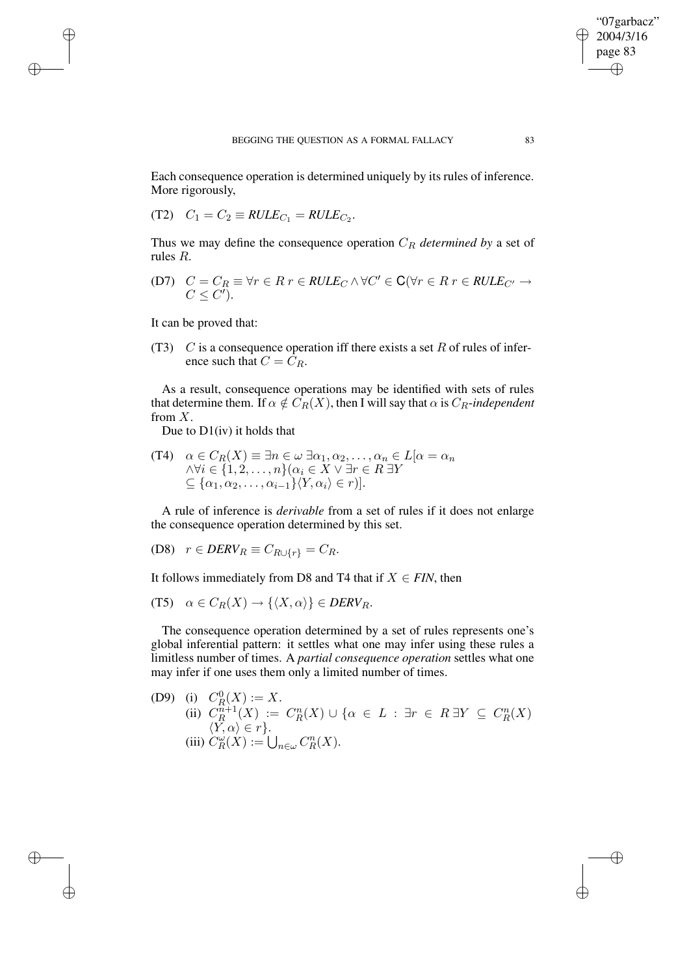Each consequence operation is determined uniquely by its rules of inference. More rigorously,

$$
(T2) \quad C_1 = C_2 \equiv RULE_{C_1} = RULE_{C_2}.
$$

Thus we may define the consequence operation  $C_R$  *determined* by a set of rules R.

(D7) 
$$
C = C_R \equiv \forall r \in R \; r \in RULE_C \land \forall C' \in \mathbf{C} (\forall r \in R \; r \in RULE_{C'} \rightarrow C \leq C').
$$

It can be proved that:

✐

✐

✐

✐

(T3)  $C$  is a consequence operation iff there exists a set  $R$  of rules of inference such that  $C = \overline{C}_R$ .

As a result, consequence operations may be identified with sets of rules that determine them. If  $\alpha \notin C_R(X)$ , then I will say that  $\alpha$  is  $C_R$ -*independent* from  $X$ .

Due to D1(iv) it holds that

(T4)  $\alpha \in C_R(X) \equiv \exists n \in \omega \; \exists \alpha_1, \alpha_2, \ldots, \alpha_n \in L[\alpha = \alpha_n]$  $\land \forall i \in \{1,2,\ldots,n\}$ ( $\alpha_i \in X \lor \exists r \in R$  ∃ $Y$  $\subseteq \{\alpha_1, \alpha_2, \ldots, \alpha_{i-1}\}\langle Y, \alpha_i \rangle \in r$ )].

A rule of inference is *derivable* from a set of rules if it does not enlarge the consequence operation determined by this set.

$$
(D8) \quad r \in DERV_R \equiv C_{R \cup \{r\}} = C_R.
$$

It follows immediately from D8 and T4 that if  $X \in FIN$ , then

$$
(T5) \quad \alpha \in C_R(X) \to \{\langle X, \alpha \rangle\} \in DERV_R.
$$

The consequence operation determined by a set of rules represents one's global inferential pattern: it settles what one may infer using these rules a limitless number of times. A *partial consequence operation* settles what one may infer if one uses them only a limited number of times.

(D9) (i) 
$$
C_R^0(X) := X
$$
.  
\n(ii)  $C_R^{n+1}(X) := C_R^n(X) \cup \{\alpha \in L : \exists r \in R \exists Y \subseteq C_R^n(X) \mid \langle Y, \alpha \rangle \in r\}$ .  
\n(iii)  $C_R^{\omega}(X) := \bigcup_{n \in \omega} C_R^n(X)$ .

"07garbacz" 2004/3/16 page 83

✐

✐

✐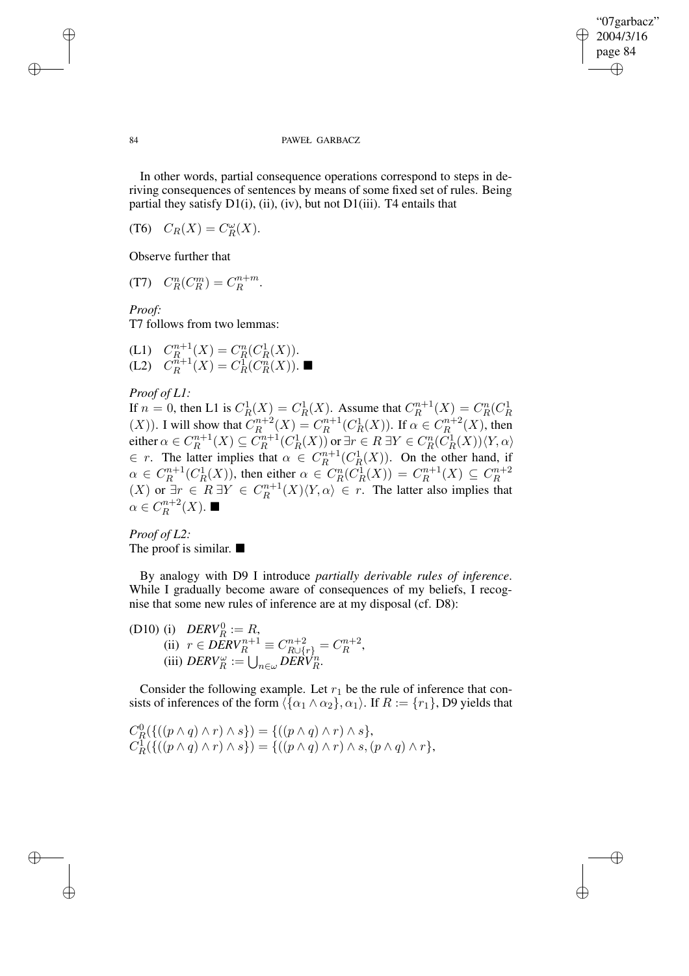✐

#### 84 PAWEŁ GARBACZ

In other words, partial consequence operations correspond to steps in deriving consequences of sentences by means of some fixed set of rules. Being partial they satisfy  $D1(i)$ , (ii), (iv), but not  $D1(iii)$ . T4 entails that

(T6)  $C_R(X) = C_R^{\omega}(X)$ .

Observe further that

$$
(T7) \quad C_R^n(C_R^m) = C_R^{n+m}.
$$

*Proof:*

T7 follows from two lemmas:

(L1) 
$$
C_R^{n+1}(X) = C_R^n(C_R^1(X))
$$
.  
(L2)  $C_R^{n+1}(X) = C_R^1(C_R^n(X))$ .

## *Proof of L1:*

If  $n = 0$ , then L1 is  $C_R^1(X) = C_R^1(X)$ . Assume that  $C_R^{n+1}$  $C_R^{n+1}(X) = C_R^n(C_R^1)$  $(X)$ ). I will show that  $C_R^{n+2}$  $C_R^{n+2}(X) = C_R^{n+1}$  $R^{n+1}(C_R^1(X))$ . If  $\alpha \in C_R^{n+2}$  $R^{n+2}_R(X)$ , then either  $\alpha \in C_R^{n+1}$  $R^{n+1}(X) \subseteq C_R^{n+1}$  $C_R^{n+1}(C_R^1(X))$  or  $\exists r \in R \ \exists Y \in C_R^n(\overline{C}_R^1(X)) \langle Y, \alpha \rangle$  $\in$  r. The latter implies that  $\alpha \in C_R^{n+1}$  $R^{n+1}(C_R^1(X))$ . On the other hand, if  $\alpha \in C_R^{n+1}$  $R^{n+1}(C_R^1(X))$ , then either  $\alpha \in C_R^n(\overline{C_R^1}(X)) = C_R^{n+1}$  $R^{n+1}(X) \subseteq C_R^{n+2}$ R  $(X)$  or  $\exists r \in R \exists Y \in C_R^{n+1}$  $R^{m+1}(X)\langle Y,\alpha\rangle \in r$ . The latter also implies that  $\alpha \in C_R^{n+2}$  $R^{n+2}(X)$ .

*Proof of L2:* The proof is similar.  $\blacksquare$ 

By analogy with D9 I introduce *partially derivable rules of inference*. While I gradually become aware of consequences of my beliefs, I recognise that some new rules of inference are at my disposal (cf. D8):

(D10) (i) 
$$
DERV_R^0 := R
$$
,  
\n(ii)  $r \in DERV_R^{n+1} \equiv C_{R \cup \{r\}}^{n+2} = C_R^{n+2}$ ,  
\n(iii)  $DERV_R^{\omega} := \bigcup_{n \in \omega} DERV_R^n$ .

Consider the following example. Let  $r_1$  be the rule of inference that consists of inferences of the form  $\langle {\alpha_1 \wedge \alpha_2}, \alpha_1 \rangle$ . If  $R := \{r_1\}$ , D9 yields that

$$
C_R^0(\{((p \wedge q) \wedge r) \wedge s\}) = \{((p \wedge q) \wedge r) \wedge s\},\newline C_R^1(\{(p \wedge q) \wedge r) \wedge s\}) = \{((p \wedge q) \wedge r) \wedge s, (p \wedge q) \wedge r\},\newline
$$

✐

✐

✐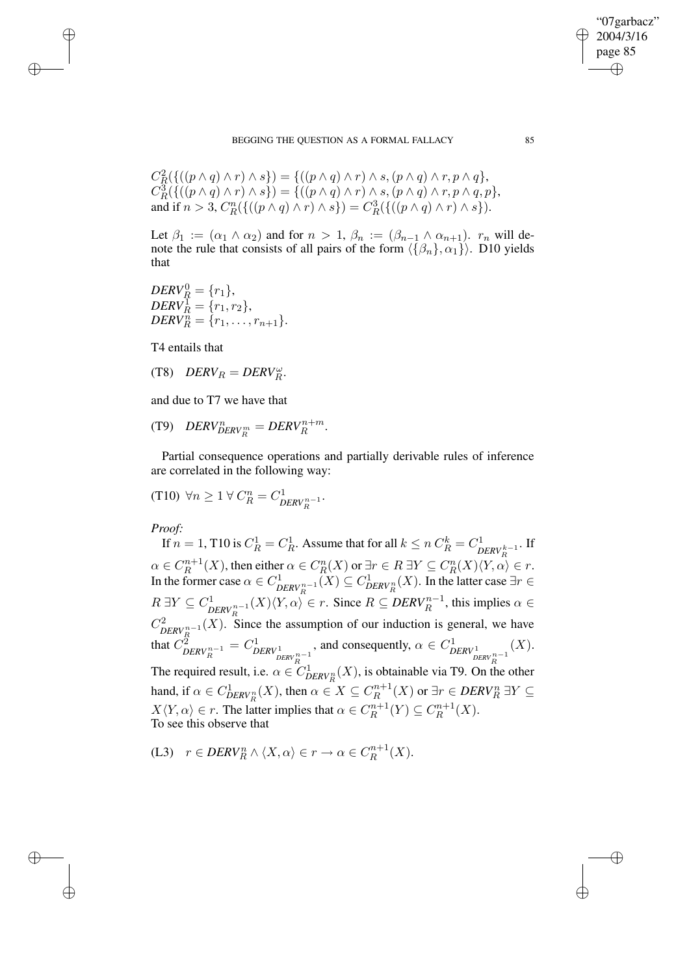BEGGING THE QUESTION AS A FORMAL FALLACY 85

$$
C_R^2(\{((p \wedge q) \wedge r) \wedge s\}) = \{((p \wedge q) \wedge r) \wedge s, (p \wedge q) \wedge r, p \wedge q\},
$$
  
\n
$$
C_R^3(\{((p \wedge q) \wedge r) \wedge s\}) = \{((p \wedge q) \wedge r) \wedge s, (p \wedge q) \wedge r, p \wedge q, p\},
$$
  
\nand if  $n > 3$ ,  $C_R^n(\{((p \wedge q) \wedge r) \wedge s\}) = C_R^3(\{((p \wedge q) \wedge r) \wedge s\}).$ 

Let  $\beta_1 := (\alpha_1 \wedge \alpha_2)$  and for  $n > 1$ ,  $\beta_n := (\beta_{n-1} \wedge \alpha_{n+1})$ .  $r_n$  will denote the rule that consists of all pairs of the form  $\langle {\beta_n}, \alpha_1 \rangle$ . D10 yields that

 $DERV_R^0 = \{r_1\},\$  $DERV_R^1 = \{r_1, r_2\},\$  $DERV_R^n = \{r_1, \ldots, r_{n+1}\}.$ 

T4 entails that

✐

✐

✐

✐

$$
(T8) \quad DERV_R = DERV_R^{\omega}.
$$

and due to T7 we have that

$$
(T9) \quad DERV^{n}_{DERV^{m}_{R}} = DERV^{n+m}_{R}.
$$

Partial consequence operations and partially derivable rules of inference are correlated in the following way:

(T10) 
$$
\forall n \geq 1 \ \forall \ C_R^n = C_{DERV_R^{n-1}}^1.
$$

*Proof:*

If  $n = 1$ , T10 is  $C_R^1 = C_R^1$ . Assume that for all  $k \le n C_R^k = C_R^1$ ′<sup>1</sup> *DERV* k−1</sub>. If  $\alpha \in C_R^{n+1}(X)$ , then either  $\alpha \in C_R^n(X)$  or  $\exists r \in R$   $\exists Y \subseteq C_R^n(X)\langle Y, \alpha \rangle$  $R^{n+1}(X)$ , then either  $\alpha \in C_R^n(X)$  or  $\exists r \in R \ \exists Y \subseteq C_R^n(X) \langle Y, \alpha \rangle \in r$ . In the former case  $\alpha \in C^1$  $\sum_{DERN_R^{n-1}} (X) \subseteq C_{DERV_R^n}^1(X)$ . In the latter case ∃*r* ∈  $R \exists Y \subseteq C^1_n$  $\sum_{DERN_R^{n-1}}^1(X)\langle Y,\alpha\rangle \in r$ . Since  $R \subseteq DERV_R^{n-1}$ , this implies  $\alpha \in$  $C^2_{\mathbf{D}\mathbf{E}\mathbf{D}V^{n-1}}(X)$ .  $\sum_{DERN_R^{n-1}}^{2}(X)$ . Since the assumption of our induction is general, we have that  $C_p^2$  $\frac{\tilde{p}}{DERV_R^{n-1}}=C_D^1$ *DERV* 1  $\sum_{DERN}^{n-1}$ , and consequently,  $\alpha \in C^1_D$ *DERV* 1  $\frac{n}{PRV_R^{n-1}}$  $(X).$ The required result, i.e.  $\alpha \in C_{DERV_R^n}^1(X)$ , is obtainable via T9. On the other hand, if  $\alpha \in C_{DERV_R^n}^1(X)$ , then  $\alpha \in X \subseteq C_R^{n+1}$  $X\langle Y, \alpha \rangle \in r$ . The latter implies that  $\alpha \in C_R^{n+1}$  $R^{m+1}(X)$  or  $\exists r \in DERV_R^n$   $\exists Y \subseteq$  $C_R^{n+1}(Y) \subseteq C_R^{n+1}$  $R^{n+1}(X).$ To see this observe that

(L3) 
$$
r \in DERV_R^n \wedge \langle X, \alpha \rangle \in r \to \alpha \in C_R^{n+1}(X)
$$
.

"07garbacz" 2004/3/16 page 85

✐

✐

✐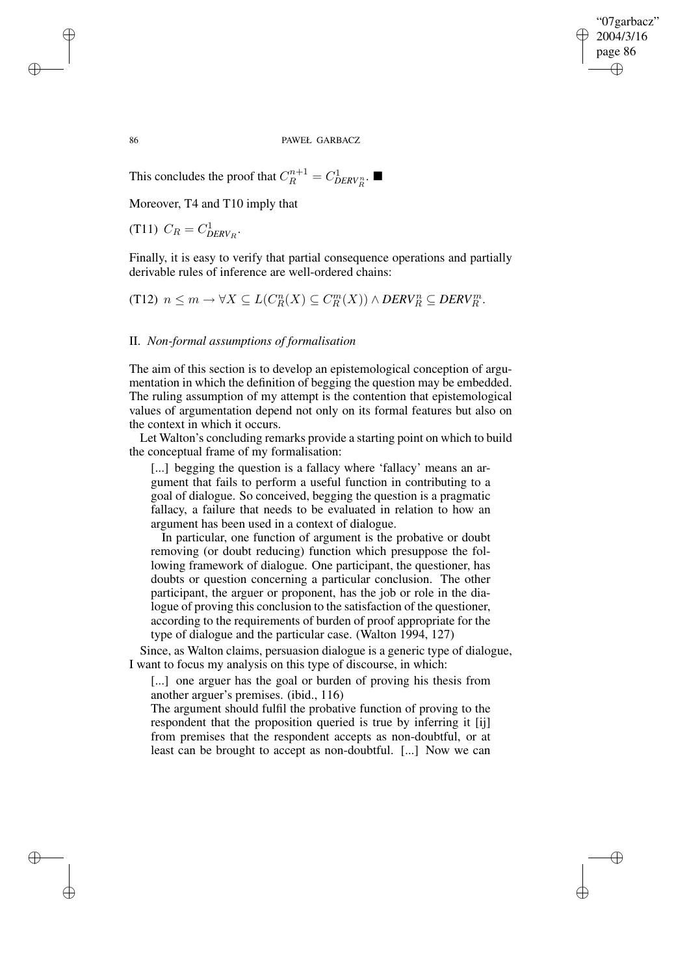"07garbacz" 2004/3/16 page 86 ✐ ✐

✐

✐

86 PAWEŁ GARBACZ

This concludes the proof that  $C_R^{n+1} = C_{DERV_R^n}^1$ .

Moreover, T4 and T10 imply that

(T11)  $C_R = C_{DERV_R}^1$ .

Finally, it is easy to verify that partial consequence operations and partially derivable rules of inference are well-ordered chains:

(T12) 
$$
n \leq m \to \forall X \subseteq L(C_R^n(X) \subseteq C_R^m(X)) \land DERN_R^n \subseteq DERV_R^m
$$
.

## II. *Non-formal assumptions of formalisation*

The aim of this section is to develop an epistemological conception of argumentation in which the definition of begging the question may be embedded. The ruling assumption of my attempt is the contention that epistemological values of argumentation depend not only on its formal features but also on the context in which it occurs.

Let Walton's concluding remarks provide a starting point on which to build the conceptual frame of my formalisation:

[...] begging the question is a fallacy where 'fallacy' means an argument that fails to perform a useful function in contributing to a goal of dialogue. So conceived, begging the question is a pragmatic fallacy, a failure that needs to be evaluated in relation to how an argument has been used in a context of dialogue.

In particular, one function of argument is the probative or doubt removing (or doubt reducing) function which presuppose the following framework of dialogue. One participant, the questioner, has doubts or question concerning a particular conclusion. The other participant, the arguer or proponent, has the job or role in the dialogue of proving this conclusion to the satisfaction of the questioner, according to the requirements of burden of proof appropriate for the type of dialogue and the particular case. (Walton 1994, 127)

Since, as Walton claims, persuasion dialogue is a generic type of dialogue, I want to focus my analysis on this type of discourse, in which:

[...] one arguer has the goal or burden of proving his thesis from another arguer's premises. (ibid., 116)

The argument should fulfil the probative function of proving to the respondent that the proposition queried is true by inferring it [ij] from premises that the respondent accepts as non-doubtful, or at least can be brought to accept as non-doubtful. [...] Now we can

✐

✐

✐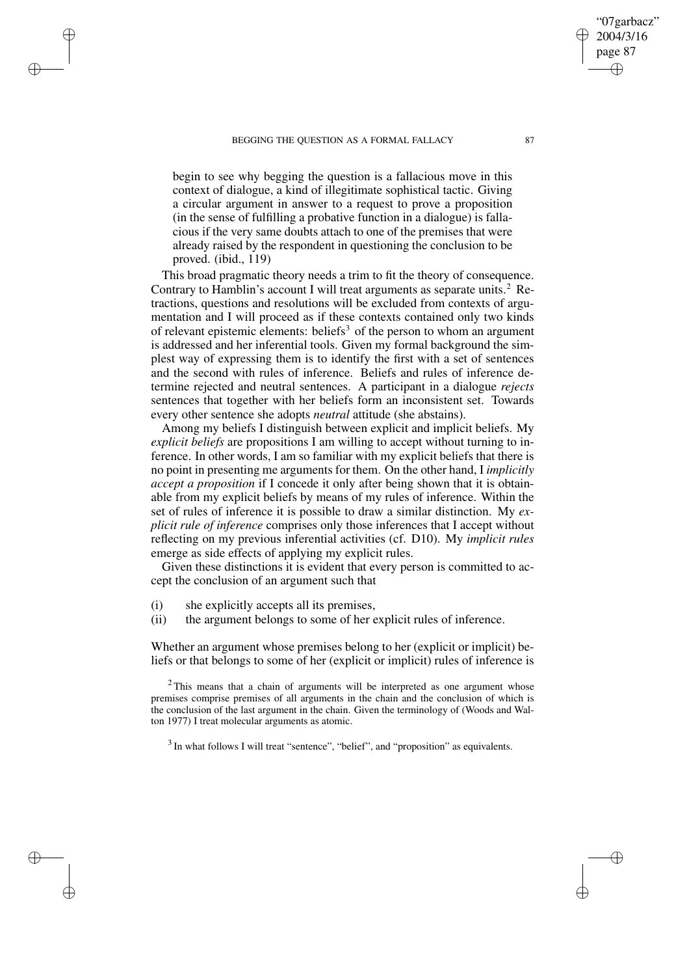✐

✐

✐

begin to see why begging the question is a fallacious move in this context of dialogue, a kind of illegitimate sophistical tactic. Giving a circular argument in answer to a request to prove a proposition (in the sense of fulfilling a probative function in a dialogue) is fallacious if the very same doubts attach to one of the premises that were already raised by the respondent in questioning the conclusion to be proved. (ibid., 119)

This broad pragmatic theory needs a trim to fit the theory of consequence. Contrary to Hamblin's account I will treat arguments as separate units.<sup>2</sup> Retractions, questions and resolutions will be excluded from contexts of argumentation and I will proceed as if these contexts contained only two kinds of relevant epistemic elements: beliefs<sup>3</sup> of the person to whom an argument is addressed and her inferential tools. Given my formal background the simplest way of expressing them is to identify the first with a set of sentences and the second with rules of inference. Beliefs and rules of inference determine rejected and neutral sentences. A participant in a dialogue *rejects* sentences that together with her beliefs form an inconsistent set. Towards every other sentence she adopts *neutral* attitude (she abstains).

Among my beliefs I distinguish between explicit and implicit beliefs. My *explicit beliefs* are propositions I am willing to accept without turning to inference. In other words, I am so familiar with my explicit beliefs that there is no point in presenting me arguments for them. On the other hand, I *implicitly accept a proposition* if I concede it only after being shown that it is obtainable from my explicit beliefs by means of my rules of inference. Within the set of rules of inference it is possible to draw a similar distinction. My *explicit rule of inference* comprises only those inferences that I accept without reflecting on my previous inferential activities (cf. D10). My *implicit rules* emerge as side effects of applying my explicit rules.

Given these distinctions it is evident that every person is committed to accept the conclusion of an argument such that

- (i) she explicitly accepts all its premises,
- (ii) the argument belongs to some of her explicit rules of inference.

Whether an argument whose premises belong to her (explicit or implicit) beliefs or that belongs to some of her (explicit or implicit) rules of inference is

 $3$  In what follows I will treat "sentence", "belief", and "proposition" as equivalents.

"07garbacz" 2004/3/16 page 87

✐

✐

✐

 $2$ This means that a chain of arguments will be interpreted as one argument whose premises comprise premises of all arguments in the chain and the conclusion of which is the conclusion of the last argument in the chain. Given the terminology of (Woods and Walton 1977) I treat molecular arguments as atomic.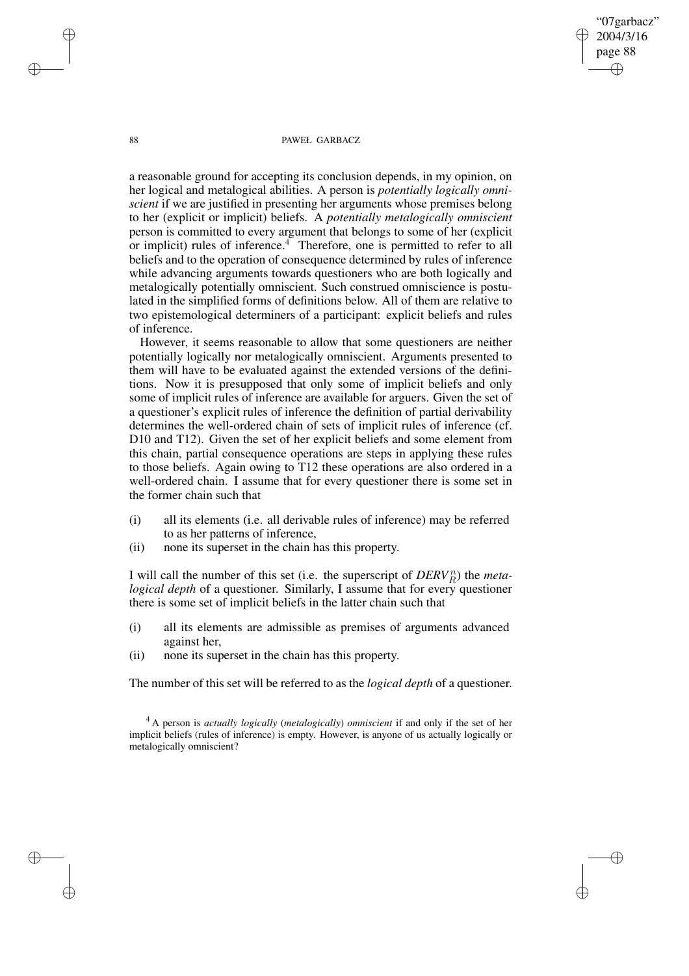88 PAWEŁ GARBACZ

"07garbacz" 2004/3/16 page 88

✐

✐

✐

✐

a reasonable ground for accepting its conclusion depends, in my opinion, on her logical and metalogical abilities. A person is *potentially logically omniscient* if we are justified in presenting her arguments whose premises belong to her (explicit or implicit) beliefs. A *potentially metalogically omniscient* person is committed to every argument that belongs to some of her (explicit or implicit) rules of inference.<sup>4</sup> Therefore, one is permitted to refer to all beliefs and to the operation of consequence determined by rules of inference while advancing arguments towards questioners who are both logically and metalogically potentially omniscient. Such construed omniscience is postulated in the simplified forms of definitions below. All of them are relative to two epistemological determiners of a participant: explicit beliefs and rules of inference.

However, it seems reasonable to allow that some questioners are neither potentially logically nor metalogically omniscient. Arguments presented to them will have to be evaluated against the extended versions of the definitions. Now it is presupposed that only some of implicit beliefs and only some of implicit rules of inference are available for arguers. Given the set of a questioner's explicit rules of inference the definition of partial derivability determines the well-ordered chain of sets of implicit rules of inference (cf. D10 and T12). Given the set of her explicit beliefs and some element from this chain, partial consequence operations are steps in applying these rules to those beliefs. Again owing to T12 these operations are also ordered in a well-ordered chain. I assume that for every questioner there is some set in the former chain such that

- (i) all its elements (i.e. all derivable rules of inference) may be referred to as her patterns of inference,
- (ii) none its superset in the chain has this property.

I will call the number of this set (i.e. the superscript of  $DERV_R^n$ ) the *metalogical depth* of a questioner. Similarly, I assume that for every questioner there is some set of implicit beliefs in the latter chain such that

- (i) all its elements are admissible as premises of arguments advanced against her,
- (ii) none its superset in the chain has this property.

The number of this set will be referred to as the *logical depth* of a questioner.

✐

✐

✐

<sup>4</sup> A person is *actually logically* (*metalogically*) *omniscient* if and only if the set of her implicit beliefs (rules of inference) is empty. However, is anyone of us actually logically or metalogically omniscient?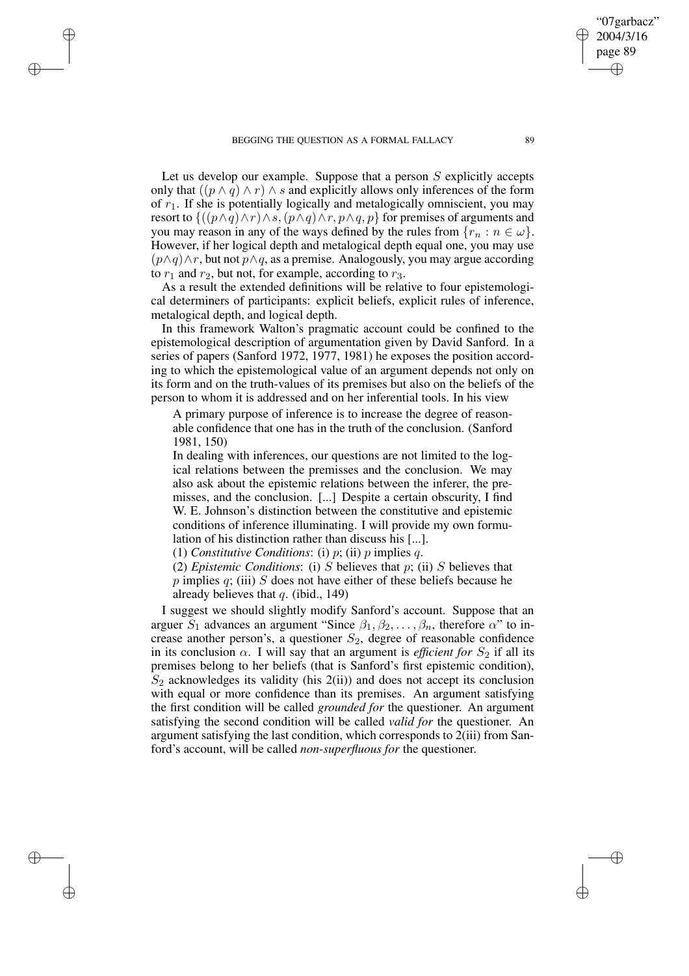✐

✐

✐

Let us develop our example. Suppose that a person  $S$  explicitly accepts only that  $((p \land q) \land r) \land s$  and explicitly allows only inferences of the form of  $r_1$ . If she is potentially logically and metalogically omniscient, you may resort to  ${((p \land q) \land r) \land s, (p \land q) \land r, p \land q, p}$  for premises of arguments and you may reason in any of the ways defined by the rules from  $\{r_n : n \in \omega\}$ . However, if her logical depth and metalogical depth equal one, you may use  $(p\land q)\land r$ , but not  $p\land q$ , as a premise. Analogously, you may argue according to  $r_1$  and  $r_2$ , but not, for example, according to  $r_3$ .

As a result the extended definitions will be relative to four epistemological determiners of participants: explicit beliefs, explicit rules of inference, metalogical depth, and logical depth.

In this framework Walton's pragmatic account could be confined to the epistemological description of argumentation given by David Sanford. In a series of papers (Sanford 1972, 1977, 1981) he exposes the position according to which the epistemological value of an argument depends not only on its form and on the truth-values of its premises but also on the beliefs of the person to whom it is addressed and on her inferential tools. In his view

A primary purpose of inference is to increase the degree of reasonable confidence that one has in the truth of the conclusion. (Sanford 1981, 150)

In dealing with inferences, our questions are not limited to the logical relations between the premisses and the conclusion. We may also ask about the epistemic relations between the inferer, the premisses, and the conclusion. [...] Despite a certain obscurity, I find W. E. Johnson's distinction between the constitutive and epistemic conditions of inference illuminating. I will provide my own formulation of his distinction rather than discuss his [...].

(1) *Constitutive Conditions*: (i) p; (ii) p implies q.

(2) *Epistemic Conditions*: (i) S believes that p; (ii) S believes that  $p$  implies  $q$ ; (iii)  $S$  does not have either of these beliefs because he already believes that  $q$ . (ibid., 149)

I suggest we should slightly modify Sanford's account. Suppose that an arguer  $S_1$  advances an argument "Since  $\beta_1, \beta_2, \dots, \beta_n$ , therefore  $\alpha$ " to increase another person's, a questioner  $S_2$ , degree of reasonable confidence in its conclusion  $\alpha$ . I will say that an argument is *efficient for*  $S_2$  if all its premises belong to her beliefs (that is Sanford's first epistemic condition),  $S_2$  acknowledges its validity (his 2(ii)) and does not accept its conclusion with equal or more confidence than its premises. An argument satisfying the first condition will be called *grounded for* the questioner. An argument satisfying the second condition will be called *valid for* the questioner. An argument satisfying the last condition, which corresponds to 2(iii) from Sanford's account, will be called *non-superfluous for* the questioner.

"07garbacz" 2004/3/16 page 89

✐

✐

✐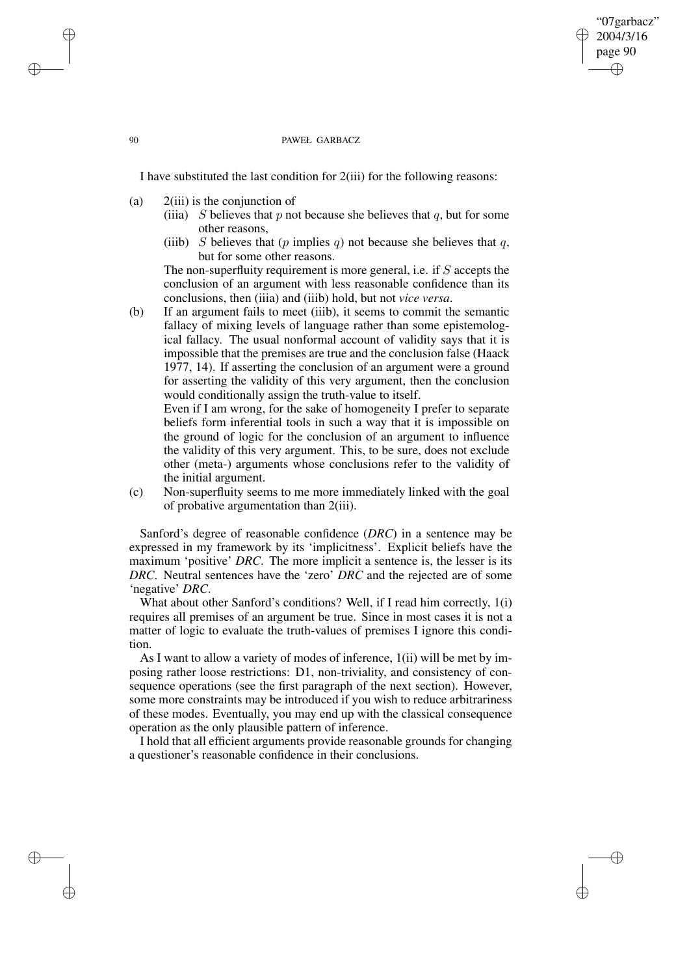#### 90 PAWEŁ GARBACZ

"07garbacz" 2004/3/16 page 90

✐

✐

✐

✐

I have substituted the last condition for 2(iii) for the following reasons:

- (a) 2(iii) is the conjunction of
	- (iiia) S believes that p not because she believes that q, but for some other reasons,
	- (iiib) S believes that (p implies q) not because she believes that q, but for some other reasons.

The non-superfluity requirement is more general, i.e. if S accepts the conclusion of an argument with less reasonable confidence than its conclusions, then (iiia) and (iiib) hold, but not *vice versa*.

(b) If an argument fails to meet (iiib), it seems to commit the semantic fallacy of mixing levels of language rather than some epistemological fallacy. The usual nonformal account of validity says that it is impossible that the premises are true and the conclusion false (Haack 1977, 14). If asserting the conclusion of an argument were a ground for asserting the validity of this very argument, then the conclusion would conditionally assign the truth-value to itself.

Even if I am wrong, for the sake of homogeneity I prefer to separate beliefs form inferential tools in such a way that it is impossible on the ground of logic for the conclusion of an argument to influence the validity of this very argument. This, to be sure, does not exclude other (meta-) arguments whose conclusions refer to the validity of the initial argument.

(c) Non-superfluity seems to me more immediately linked with the goal of probative argumentation than 2(iii).

Sanford's degree of reasonable confidence (*DRC*) in a sentence may be expressed in my framework by its 'implicitness'. Explicit beliefs have the maximum 'positive' *DRC*. The more implicit a sentence is, the lesser is its *DRC*. Neutral sentences have the 'zero' *DRC* and the rejected are of some 'negative' *DRC*.

What about other Sanford's conditions? Well, if I read him correctly, 1(i) requires all premises of an argument be true. Since in most cases it is not a matter of logic to evaluate the truth-values of premises I ignore this condition.

As I want to allow a variety of modes of inference, 1(ii) will be met by imposing rather loose restrictions: D1, non-triviality, and consistency of consequence operations (see the first paragraph of the next section). However, some more constraints may be introduced if you wish to reduce arbitrariness of these modes. Eventually, you may end up with the classical consequence operation as the only plausible pattern of inference.

I hold that all efficient arguments provide reasonable grounds for changing a questioner's reasonable confidence in their conclusions.

✐

✐

✐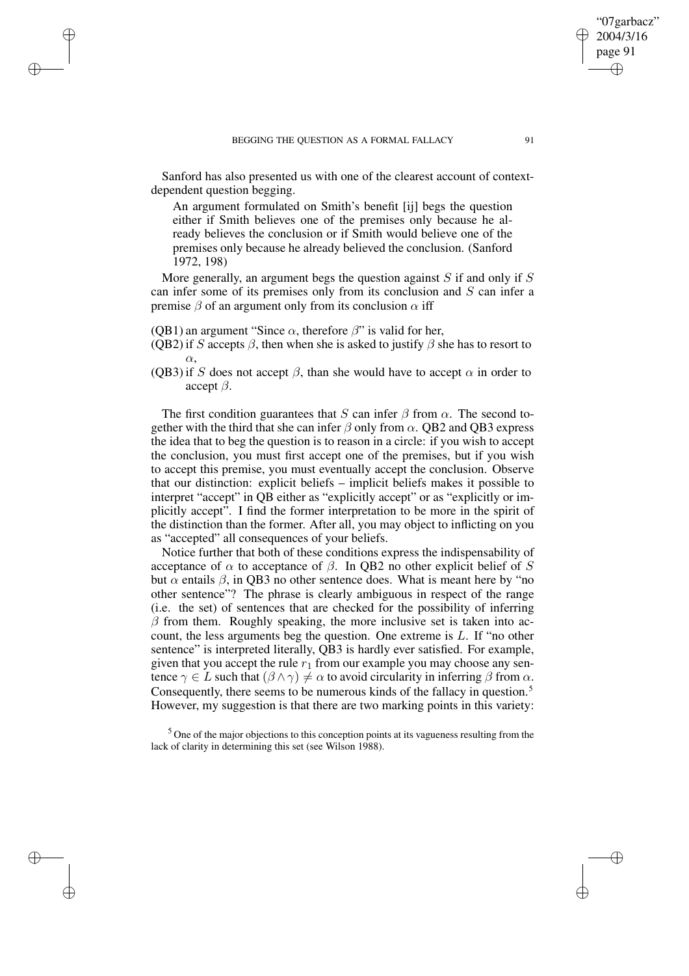Sanford has also presented us with one of the clearest account of contextdependent question begging.

An argument formulated on Smith's benefit [ij] begs the question either if Smith believes one of the premises only because he already believes the conclusion or if Smith would believe one of the premises only because he already believed the conclusion. (Sanford 1972, 198)

More generally, an argument begs the question against  $S$  if and only if  $S$ can infer some of its premises only from its conclusion and S can infer a premise  $\beta$  of an argument only from its conclusion  $\alpha$  iff

(QB1) an argument "Since  $\alpha$ , therefore  $\beta$ " is valid for her,

✐

✐

✐

✐

- (QB2) if S accepts  $\beta$ , then when she is asked to justify  $\beta$  she has to resort to  $\alpha$ .
- (QB3) if S does not accept  $\beta$ , than she would have to accept  $\alpha$  in order to accept  $\beta$ .

The first condition guarantees that S can infer  $\beta$  from  $\alpha$ . The second together with the third that she can infer  $\beta$  only from  $\alpha$ . QB2 and QB3 express the idea that to beg the question is to reason in a circle: if you wish to accept the conclusion, you must first accept one of the premises, but if you wish to accept this premise, you must eventually accept the conclusion. Observe that our distinction: explicit beliefs – implicit beliefs makes it possible to interpret "accept" in QB either as "explicitly accept" or as "explicitly or implicitly accept". I find the former interpretation to be more in the spirit of the distinction than the former. After all, you may object to inflicting on you as "accepted" all consequences of your beliefs.

Notice further that both of these conditions express the indispensability of acceptance of  $\alpha$  to acceptance of  $\beta$ . In OB2 no other explicit belief of S but  $\alpha$  entails  $\beta$ , in QB3 no other sentence does. What is meant here by "no other sentence"? The phrase is clearly ambiguous in respect of the range (i.e. the set) of sentences that are checked for the possibility of inferring  $\beta$  from them. Roughly speaking, the more inclusive set is taken into account, the less arguments beg the question. One extreme is L. If "no other sentence" is interpreted literally, QB3 is hardly ever satisfied. For example, given that you accept the rule  $r_1$  from our example you may choose any sentence  $\gamma \in L$  such that  $(\beta \wedge \gamma) \neq \alpha$  to avoid circularity in inferring  $\beta$  from  $\alpha$ . Consequently, there seems to be numerous kinds of the fallacy in question.<sup>5</sup> However, my suggestion is that there are two marking points in this variety:

<sup>5</sup> One of the major objections to this conception points at its vagueness resulting from the lack of clarity in determining this set (see Wilson 1988).

"07garbacz" 2004/3/16 page 91

✐

✐

✐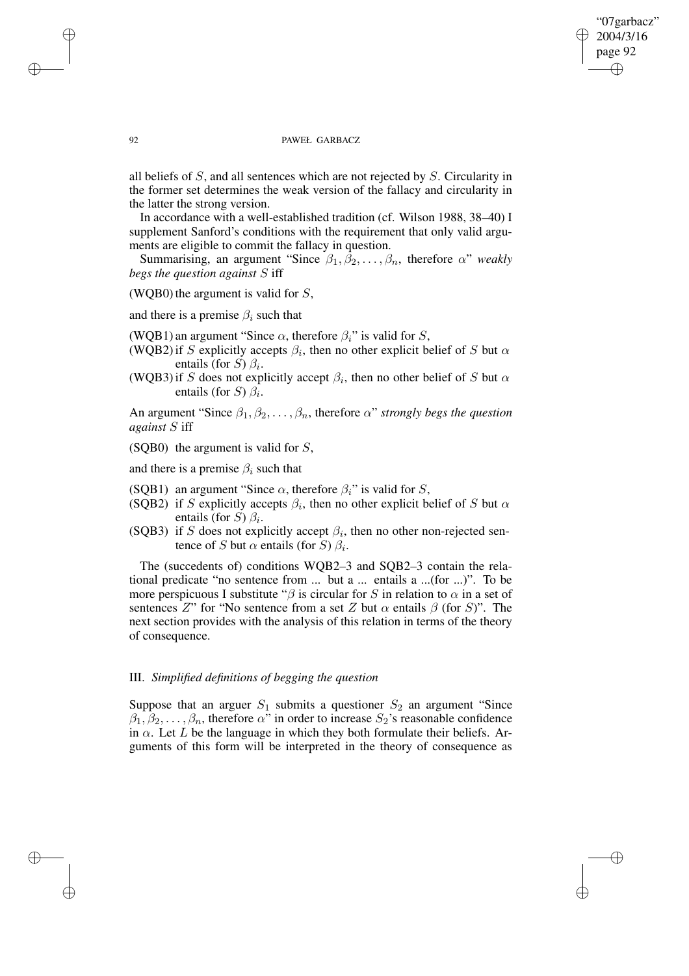## "07garbacz" 2004/3/16 page 92 ✐ ✐

✐

✐

#### 92 PAWEŁ GARBACZ

all beliefs of S, and all sentences which are not rejected by S. Circularity in the former set determines the weak version of the fallacy and circularity in the latter the strong version.

In accordance with a well-established tradition (cf. Wilson 1988, 38–40) I supplement Sanford's conditions with the requirement that only valid arguments are eligible to commit the fallacy in question.

Summarising, an argument "Since  $\beta_1, \beta_2, \dots, \beta_n$ , therefore  $\alpha$ " *weakly begs the question against* S iff

## (WQB0) the argument is valid for  $S$ ,

and there is a premise  $\beta_i$  such that

(WQB1) an argument "Since  $\alpha$ , therefore  $\beta_i$ " is valid for S,

- (WQB2) if S explicitly accepts  $\beta_i$ , then no other explicit belief of S but  $\alpha$ entails (for S)  $\beta_i$ .
- (WQB3) if S does not explicitly accept  $\beta_i$ , then no other belief of S but  $\alpha$ entails (for S)  $\beta_i$ .

An argument "Since  $\beta_1, \beta_2, \ldots, \beta_n$ , therefore  $\alpha$ " *strongly begs the question against* S iff

(SQB0) the argument is valid for  $S$ ,

and there is a premise  $\beta_i$  such that

- (SQB1) an argument "Since  $\alpha$ , therefore  $\beta_i$ " is valid for S,
- (SQB2) if S explicitly accepts  $\beta_i$ , then no other explicit belief of S but  $\alpha$ entails (for S)  $\beta_i$ .
- (SQB3) if S does not explicitly accept  $\beta_i$ , then no other non-rejected sentence of S but  $\alpha$  entails (for S)  $\beta_i$ .

The (succedents of) conditions WQB2–3 and SQB2–3 contain the relational predicate "no sentence from ... but a ... entails a ...(for ...)". To be more perspicuous I substitute " $\beta$  is circular for S in relation to  $\alpha$  in a set of sentences Z" for "No sentence from a set Z but  $\alpha$  entails  $\beta$  (for S)". The next section provides with the analysis of this relation in terms of the theory of consequence.

# III. *Simplified definitions of begging the question*

Suppose that an arguer  $S_1$  submits a questioner  $S_2$  an argument "Since  $\beta_1, \beta_2, \ldots, \beta_n$ , therefore  $\alpha$ " in order to increase  $S_2$ 's reasonable confidence in  $\alpha$ . Let L be the language in which they both formulate their beliefs. Arguments of this form will be interpreted in the theory of consequence as

✐

✐

✐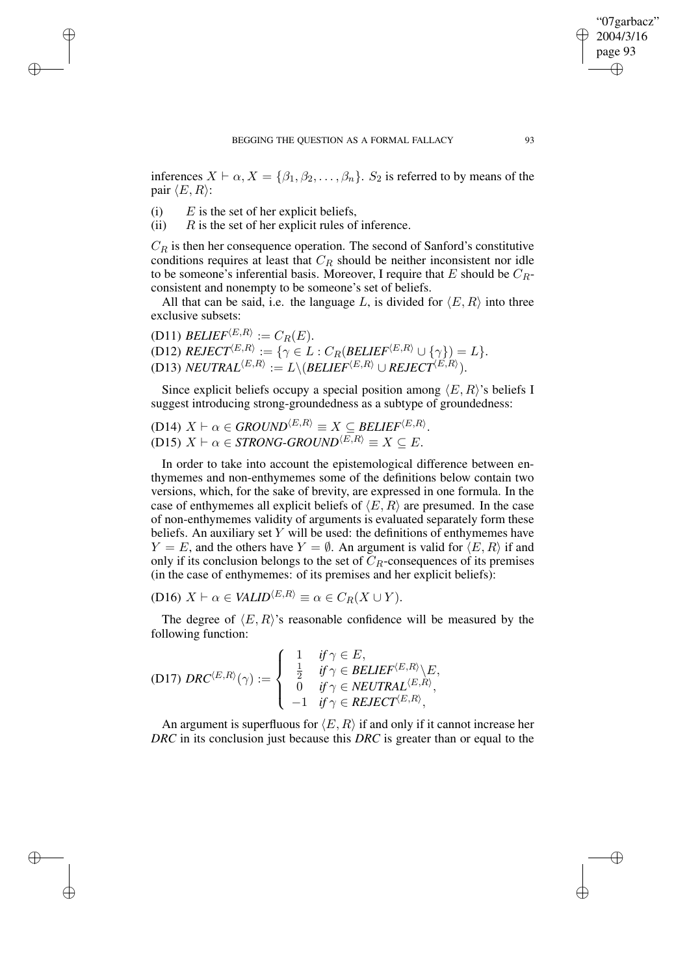inferences  $X \vdash \alpha, X = \{\beta_1, \beta_2, \ldots, \beta_n\}.$  S<sub>2</sub> is referred to by means of the pair  $\langle E, R \rangle$ :

(i)  $E$  is the set of her explicit beliefs,

✐

✐

✐

✐

(ii)  $R$  is the set of her explicit rules of inference.

 $C_R$  is then her consequence operation. The second of Sanford's constitutive conditions requires at least that  $C_R$  should be neither inconsistent nor idle to be someone's inferential basis. Moreover, I require that E should be  $C_R$ consistent and nonempty to be someone's set of beliefs.

All that can be said, i.e. the language L, is divided for  $\langle E, R \rangle$  into three exclusive subsets:

(D11)  $BELIEF^{\langle E,R \rangle} := C_R(E)$ . (D12)  $REJECT^{\langle E, R \rangle} := \{ \gamma \in L : C_R (BELIEF^{\langle E, R \rangle} \cup \{ \gamma \}) = L \}.$  $\begin{split} \text{(D13) } NEUTRAL^{\langle E,R \rangle} := L \backslash (\textit{BELIEF}^{\langle E,R \rangle} \cup \textit{REJECT}^{\langle E,R \rangle}). \end{split}$ 

Since explicit beliefs occupy a special position among  $\langle E, R \rangle$ 's beliefs I suggest introducing strong-groundedness as a subtype of groundedness:

 $(D14)$   $X \vdash \alpha \in \text{GROUND}^{\langle E,R \rangle} \equiv X \subseteq \text{BELIEF}^{\langle E,R \rangle}.$  $(D15)$   $X \vdash \alpha \in \mathit{STRONG-GROUND}^{\langle E,R \rangle} \equiv X \subseteq E.$ 

In order to take into account the epistemological difference between enthymemes and non-enthymemes some of the definitions below contain two versions, which, for the sake of brevity, are expressed in one formula. In the case of enthymemes all explicit beliefs of  $\langle E, R \rangle$  are presumed. In the case of non-enthymemes validity of arguments is evaluated separately form these beliefs. An auxiliary set  $Y$  will be used: the definitions of enthymemes have  $Y = E$ , and the others have  $Y = \emptyset$ . An argument is valid for  $\langle E, R \rangle$  if and only if its conclusion belongs to the set of  $C_R$ -consequences of its premises (in the case of enthymemes: of its premises and her explicit beliefs):

(D16)  $X \vdash \alpha \in \text{VALID}^{\langle E,R \rangle} \equiv \alpha \in C_R(X \cup Y).$ 

The degree of  $\langle E, R \rangle$ 's reasonable confidence will be measured by the following function:

(D17)  $DRC^{\langle E,R\rangle}(\gamma) :=$  $\sqrt{ }$  $\int$  $\overline{\mathcal{L}}$ 1 *if*  $\gamma \in E$ ,<br><sup>1</sup> *if*  $\gamma \in E$  $\frac{1}{2}$  *if*  $\gamma \in BELIEF^{\langle E,R \rangle} \backslash E,$  $\begin{aligned} 0 \quad \textit{ if } \gamma \in \mathit{NEUTRAL}^{\langle E,R \rangle}, \end{aligned}$  $-1$  *if*  $\gamma \in REJECT^{\langle E,R \rangle},$ 

An argument is superfluous for  $\langle E, R \rangle$  if and only if it cannot increase her *DRC* in its conclusion just because this *DRC* is greater than or equal to the

"07garbacz"  $\bigcirc$  2004/3/16 page 93

✐

✐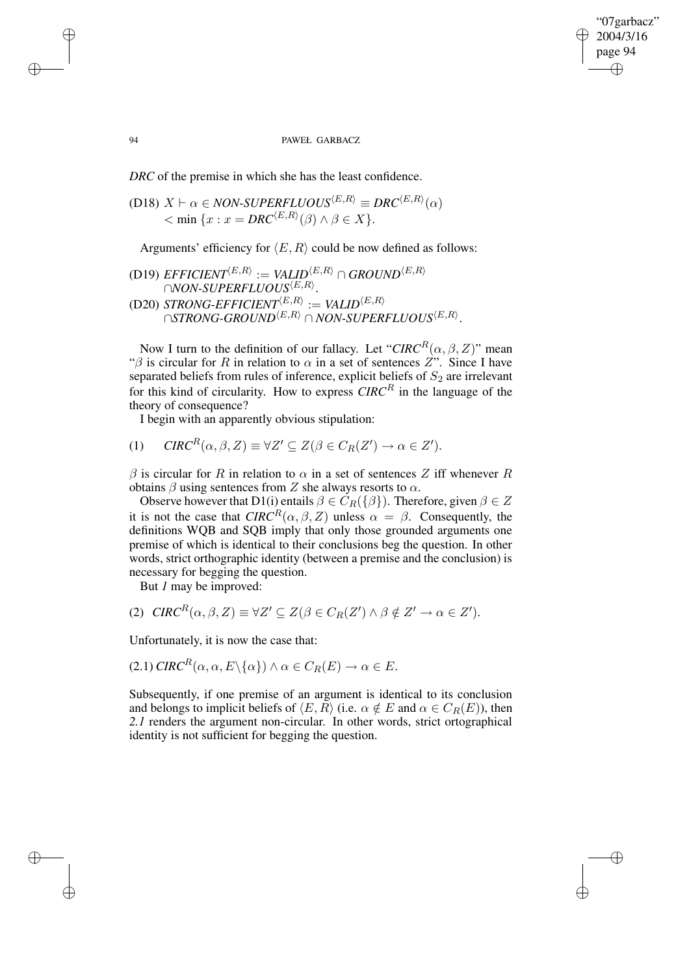✐

#### 94 PAWEŁ GARBACZ

*DRC* of the premise in which she has the least confidence.

(D18) 
$$
X \vdash \alpha \in NON-SUPERFLUOUS^{\langle E,R \rangle} \equiv DRC^{\langle E,R \rangle}(\alpha)
$$
  
<  $\langle$  min  $\{x : x = DRC^{\langle E,R \rangle}(\beta) \land \beta \in X\}$ .

Arguments' efficiency for  $\langle E, R \rangle$  could be now defined as follows:

(D19) *EFTCIENT*<sup>(E,R)</sup> := *VALID*<sup>(E,R)</sup> 
$$
\cap
$$
 *GROUND*<sup>(E,R)</sup>  
\n $\cap$ *NON-SUPERFLUOUS*<sup>(E,R)</sup>.  
\n(D20) *STRONG-EFTCIENT*<sup>(E,R)</sup> := *VALID*<sup>(E,R)</sup>  
\n $\cap$ *STRONG-GROUND*<sup>(E,R)</sup>  $\cap$ *NON-SUPERFLUOUS*<sup>(E,R)</sup>.

Now I turn to the definition of our fallacy. Let " $CIRC^R(\alpha,\beta,Z)$ " mean " $\beta$  is circular for R in relation to  $\alpha$  in a set of sentences Z". Since I have separated beliefs from rules of inference, explicit beliefs of  $S_2$  are irrelevant for this kind of circularity. How to express  $CIRC^R$  in the language of the theory of consequence?

I begin with an apparently obvious stipulation:

$$
(1) \quad \mathit{CIRC}^R(\alpha,\beta,Z) \equiv \forall Z' \subseteq Z(\beta \in C_R(Z') \to \alpha \in Z').
$$

 $\beta$  is circular for R in relation to  $\alpha$  in a set of sentences Z iff whenever R obtains  $\beta$  using sentences from Z she always resorts to  $\alpha$ .

Observe however that D1(i) entails  $\beta \in C_R({\{\beta\}})$ . Therefore, given  $\beta \in Z$ it is not the case that  $CIRC^R(\alpha, \beta, Z)$  unless  $\alpha = \beta$ . Consequently, the definitions WQB and SQB imply that only those grounded arguments one premise of which is identical to their conclusions beg the question. In other words, strict orthographic identity (between a premise and the conclusion) is necessary for begging the question.

But *1* may be improved:

$$
(2) \quad CIRC^R(\alpha, \beta, Z) \equiv \forall Z' \subseteq Z(\beta \in C_R(Z') \land \beta \notin Z' \to \alpha \in Z').
$$

Unfortunately, it is now the case that:

$$
(2.1) \mathit{CIRC}^R(\alpha, \alpha, E \setminus \{\alpha\}) \wedge \alpha \in C_R(E) \to \alpha \in E.
$$

Subsequently, if one premise of an argument is identical to its conclusion and belongs to implicit beliefs of  $\langle E, R \rangle$  (i.e.  $\alpha \notin E$  and  $\alpha \in C_R(E)$ ), then *2.1* renders the argument non-circular. In other words, strict ortographical identity is not sufficient for begging the question.

✐

✐

✐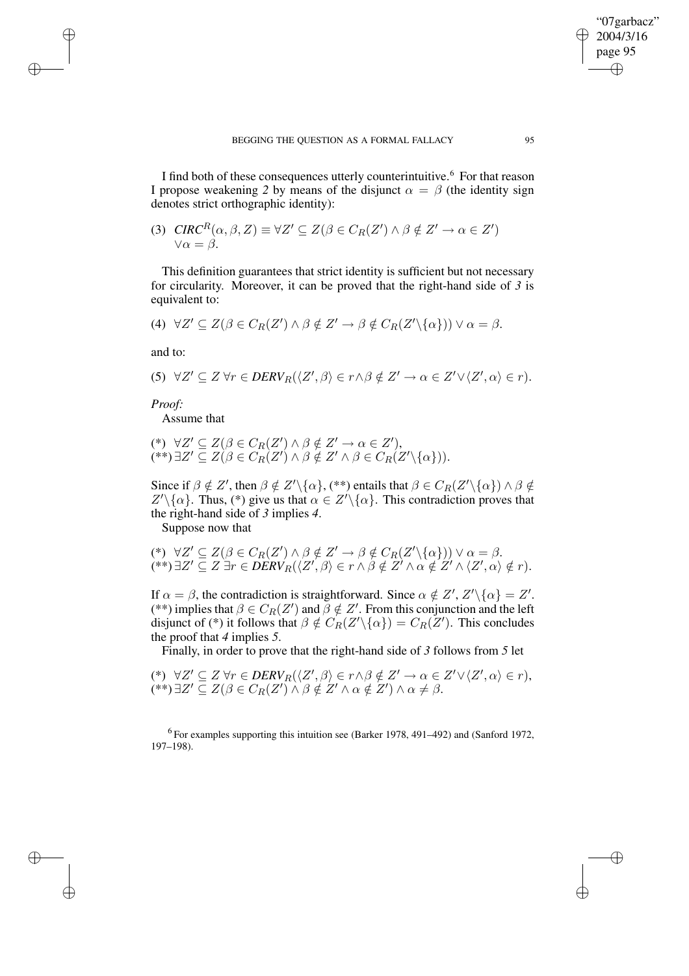I find both of these consequences utterly counterintuitive.<sup>6</sup> For that reason I propose weakening 2 by means of the disjunct  $\alpha = \beta$  (the identity sign denotes strict orthographic identity):

(3) 
$$
CIRC^R(\alpha, \beta, Z) \equiv \forall Z' \subseteq Z(\beta \in C_R(Z') \land \beta \notin Z' \to \alpha \in Z')
$$

$$
\forall \alpha = \beta.
$$

This definition guarantees that strict identity is sufficient but not necessary for circularity. Moreover, it can be proved that the right-hand side of *3* is equivalent to:

$$
(4) \ \ \forall Z' \subseteq Z(\beta \in C_R(Z') \land \beta \notin Z' \to \beta \notin C_R(Z' \setminus {\{\alpha\}})) \lor \alpha = \beta.
$$

and to:

✐

✐

✐

✐

$$
(5) \ \ \forall Z' \subseteq Z \ \forall r \in DERV_R(\langle Z', \beta \rangle \in r \land \beta \notin Z' \to \alpha \in Z' \lor \langle Z', \alpha \rangle \in r).
$$

*Proof:*

Assume that

$$
(*) \ \ \forall Z' \subseteq Z(\beta \in C_R(Z') \land \beta \notin Z' \to \alpha \in Z'),(**)\ \exists Z' \subseteq Z(\beta \in C_R(Z') \land \beta \notin Z' \land \beta \in C_R(Z'\setminus\{\alpha\})).
$$

Since if  $\beta \notin Z'$ , then  $\beta \notin Z' \setminus {\alpha}$ , (\*\*) entails that  $\beta \in C_R(Z' \setminus {\alpha}) \wedge \beta \notin Z'$  $Z'\setminus\{\alpha\}$ . Thus, (\*) give us that  $\alpha \in Z'\setminus\{\alpha\}$ . This contradiction proves that the right-hand side of *3* implies *4*.

Suppose now that

$$
(\mathcal{L}) \ \ \forall Z' \subseteq Z(\beta \in C_R(Z') \land \beta \notin Z' \to \beta \notin C_R(Z' \setminus {\alpha})) \lor \alpha = \beta.
$$
  

$$
(\mathcal{L}^*) \exists Z' \subseteq Z \exists r \in DERV_R(\langle Z', \beta \rangle \in r \land \beta \notin Z' \land \alpha \notin Z' \land \langle Z', \alpha \rangle \notin r).
$$

If  $\alpha = \beta$ , the contradiction is straightforward. Since  $\alpha \notin Z'$ ,  $Z' \setminus {\{\alpha\}} = Z'$ . (\*\*) implies that  $\beta \in C_R(Z')$  and  $\beta \notin Z'$ . From this conjunction and the left disjunct of (\*) it follows that  $\beta \notin C_R(Z' \setminus {\alpha}) = C_R(Z')$ . This concludes the proof that *4* implies *5*.

Finally, in order to prove that the right-hand side of *3* follows from *5* let

 $(\ast) \ \ \forall Z' \subseteq Z \ \forall r \in DERV_R(\langle Z', \beta \rangle \in r \land \beta \notin Z' \rightarrow \alpha \in Z' \lor \langle Z', \alpha \rangle \in r),$  $(**)$   $\exists Z' \subseteq Z(\beta \in C_R(Z') \land \beta \notin Z' \land \alpha \notin Z') \land \alpha \neq \beta$ .

<sup>6</sup> For examples supporting this intuition see (Barker 1978, 491–492) and (Sanford 1972, 197–198).

"07garbacz" 2004/3/16 page 95

✐

✐

✐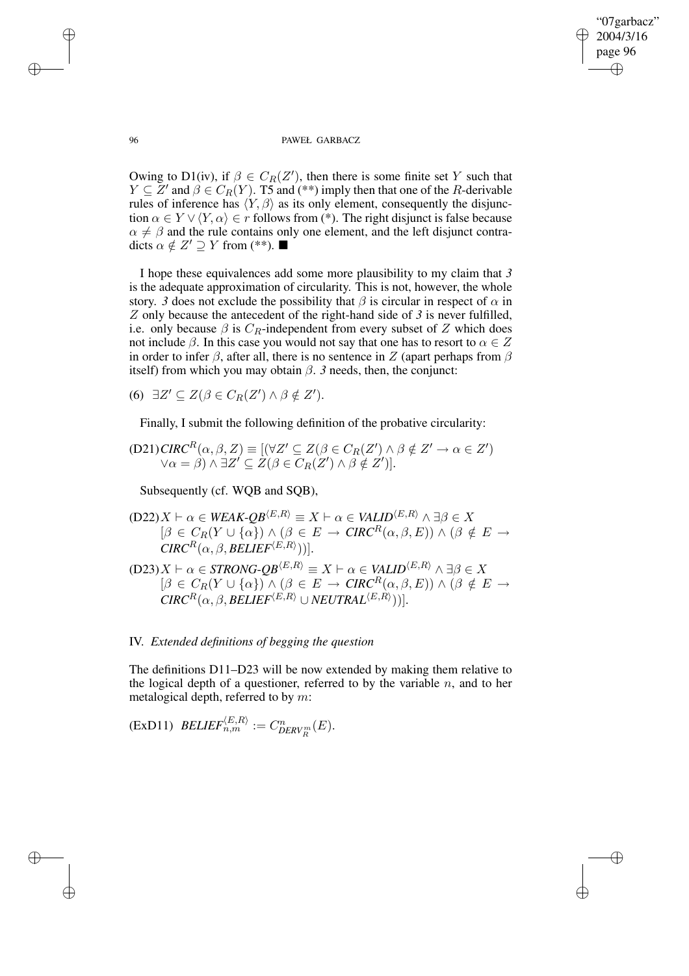✐

#### 96 PAWEŁ GARBACZ

Owing to D1(iv), if  $\beta \in C_R(Z')$ , then there is some finite set Y such that  $Y \subseteq Z'$  and  $\beta \in C_R(Y)$ . T5 and (\*\*) imply then that one of the R-derivable rules of inference has  $\langle Y, \beta \rangle$  as its only element, consequently the disjunction  $\alpha \in Y \vee \langle Y, \alpha \rangle \in r$  follows from (\*). The right disjunct is false because  $\alpha \neq \beta$  and the rule contains only one element, and the left disjunct contradicts  $\alpha \notin Z' \supseteq Y$  from (\*\*).

I hope these equivalences add some more plausibility to my claim that *3* is the adequate approximation of circularity. This is not, however, the whole story. *3* does not exclude the possibility that  $\beta$  is circular in respect of  $\alpha$  in Z only because the antecedent of the right-hand side of *3* is never fulfilled, i.e. only because  $\beta$  is  $C_R$ -independent from every subset of Z which does not include  $\beta$ . In this case you would not say that one has to resort to  $\alpha \in \mathbb{Z}$ in order to infer  $\beta$ , after all, there is no sentence in Z (apart perhaps from  $\beta$ itself) from which you may obtain  $\beta$ . 3 needs, then, the conjunct:

(6)  $\exists Z' \subseteq Z(\beta \in C_R(Z') \land \beta \notin Z').$ 

Finally, I submit the following definition of the probative circularity:

$$
(D21)CIRC^R(\alpha, \beta, Z) \equiv [(\forall Z' \subseteq Z(\beta \in C_R(Z') \land \beta \notin Z' \to \alpha \in Z')\lor \alpha = \beta) \land \exists Z' \subseteq Z(\beta \in C_R(Z') \land \beta \notin Z')].
$$

Subsequently (cf. WQB and SQB),

 $(D22)X \vdash \alpha \in WEAK-OB^{\langle E,R \rangle} \equiv X \vdash \alpha \in VALID^{\langle E,R \rangle} \wedge \exists \beta \in X$  $[\beta \in C_R(Y \cup {\{\alpha\}}) \wedge (\beta \in E \rightarrow \text{CIRC}^R(\alpha, \beta, E)) \wedge (\beta \notin E \rightarrow$  $CIRC^{R}(\alpha,\beta,BELIEF^{\langle E,R \rangle}))].$ 

 $(D23)X \vdash \alpha \in STRONG\text{-}QB^{\langle E,R \rangle} \equiv X \vdash \alpha \in \text{VALID}^{\langle E,R \rangle} \wedge \exists \beta \in X$  $[\beta \in C_R(Y \cup {\alpha}) \wedge (\beta \in E \rightarrow \text{CIRC}^R(\alpha, \beta, E)) \wedge (\beta \notin E \rightarrow$  $\mathit{CIRC}^R(\alpha,\beta,\mathit{BELIEF}^{\langle E,R \rangle} \cup \mathit{NEUTRAL}^{\langle E,R \rangle}$ ))].

# IV. *Extended definitions of begging the question*

The definitions D11–D23 will be now extended by making them relative to the logical depth of a questioner, referred to by the variable  $n$ , and to her metalogical depth, referred to by m:

$$
(ExD11) \ \ \text{BELIEF}_{n,m}^{\langle E,R \rangle} := C_{DERV_R^m}^n(E).
$$

✐

✐

✐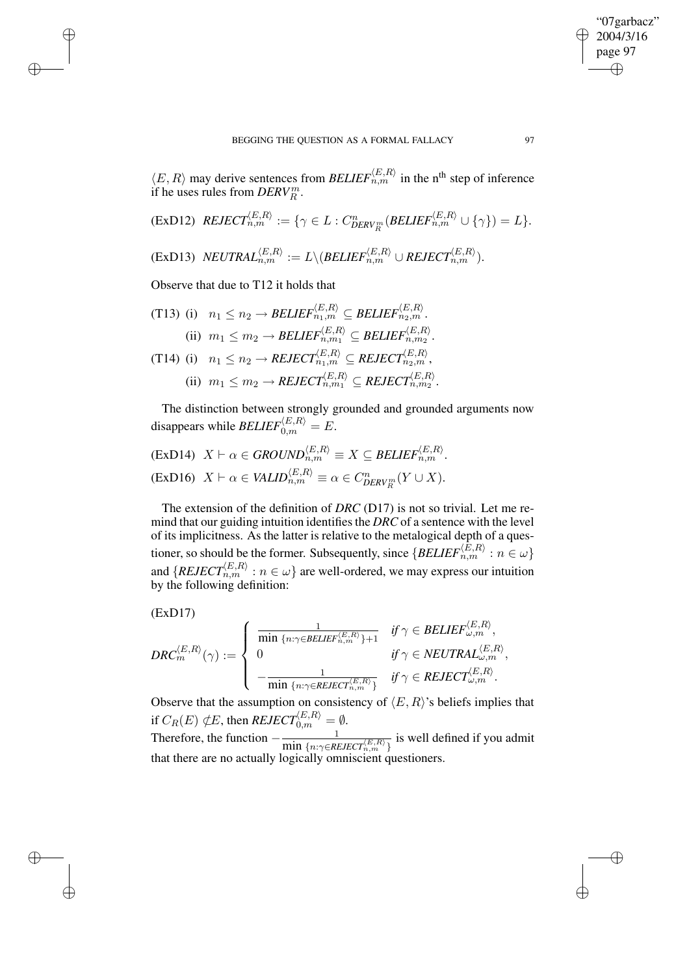$\langle E, R \rangle$  may derive sentences from *BELIEF* $_{n,m}^{(E,R)}$  in the n<sup>th</sup> step of inference if he uses rules from  $DERV_R^m$ .

$$
(ExD12) \quad \text{REJECT}_{n,m}^{(E,R)} := \{ \gamma \in L : C^n_{DERV_R^m}(BELIEF_{n,m}^{(E,R)} \cup \{ \gamma \}) = L \}.
$$

 $(\text{ExD13}) \;\; \text{NEUTRAL}^{\langle E,R \rangle}_{n,m} := L \backslash (\text{BELIEF}^{\langle E,R \rangle}_{n,m} \cup \text{REJECT}^{\langle E,R \rangle}_{n,m}).$ 

Observe that due to T12 it holds that

$$
\begin{aligned}\n\text{(T13)} \text{ (i)} \quad & n_1 \leq n_2 \to \text{BELIEF}_{n_1, m}^{\langle E, R \rangle} \subseteq \text{BELIEF}_{n_2, m}^{\langle E, R \rangle}. \\
\text{(ii)} \quad & m_1 \leq m_2 \to \text{BELIEF}_{n, m_1}^{\langle E, R \rangle} \subseteq \text{BELIEF}_{n, m_2}^{\langle E, R \rangle}.\n\end{aligned}
$$
\n
$$
\begin{aligned}\n\text{(T14)} \text{ (i)} \quad & n_1 \leq n_2 \to \text{REIECT}_{n_1, m}^{\langle E, R \rangle} \subseteq \text{REIECT}_{n_2, m}^{\langle E, R \rangle}, \\
\text{(ii)} \quad & m_1 \leq m_2 \to \text{REIECT}_{n, m_1}^{\langle E, R \rangle} \subseteq \text{REIECT}_{n, m_2}^{\langle E, R \rangle}.\n\end{aligned}
$$

The distinction between strongly grounded and grounded arguments now disappears while  $BELIEF_{0,m}^{\langle E,R \rangle} = E.$ 

$$
\begin{aligned} \n\text{(ExD14)} \quad X \vdash \alpha \in \text{GROUND}_{n,m}^{\langle E,R \rangle} \equiv X \subseteq \text{BELIEF}_{n,m}^{\langle E,R \rangle}.\\ \n\text{(ExD16)} \quad X \vdash \alpha \in \text{VALID}_{n,m}^{\langle E,R \rangle} \equiv \alpha \in C_{\text{DERV}_{R}^{m}}^{n}(Y \cup X). \n\end{aligned}
$$

The extension of the definition of *DRC* (D17) is not so trivial. Let me remind that our guiding intuition identifies the *DRC* of a sentence with the level of its implicitness. As the latter is relative to the metalogical depth of a questioner, so should be the former. Subsequently, since  $\{BELIEF_{n,m}^{(E,R)} : n \in \omega \}$ and  $\{REJECT_{n,m}^{(E,R)} : n \in \omega\}$  are well-ordered, we may express our intuition by the following definition:

$$
(ExD17)
$$

✐

✐

✐

✐

$$
\textit{DRC}_m^{\langle E, R \rangle}(\gamma) := \left\{ \begin{array}{ll} \frac{1}{\min{\{n:\gamma \in \textit{BELIEF}_{n,m}^{\langle E, R \rangle}\}+1}} & \textit{if $\gamma \in \textit{BELIEF}_{\omega,m}^{\langle E, R \rangle}$,} \\ 0 & \textit{if $\gamma \in \textit{NEUTRAL}_{\omega,m}^{\langle E, R \rangle}$,} \\ -\frac{1}{\min{\{n:\gamma \in \textit{REJECT}_{n,m}^{\langle E, R \rangle}\}}} & \textit{if $\gamma \in \textit{REJECT}_{\omega,m}^{\langle E, R \rangle}$.} \end{array} \right.
$$

Observe that the assumption on consistency of  $\langle E, R \rangle$ 's beliefs implies that if  $C_R(E) \notin E$ , then  $REJECT_{0,m}^{\langle E,R\rangle}=\emptyset.$ 

Therefore, the function  $-\frac{1}{\min(1-\epsilon)}$  $\frac{1}{\min\{n:\gamma \in REJECT_{n,m}^{(E,R)}\}}}$  is well defined if you admit that there are no actually logically omniscient questioners.

"07garbacz" 2004/3/16 page 97

✐

✐

✐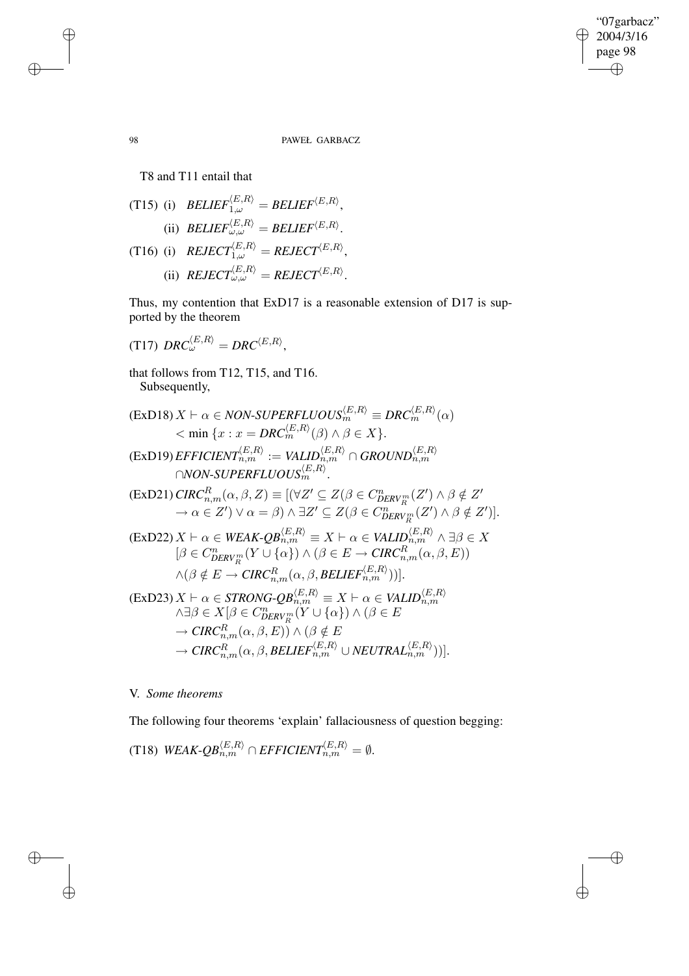$\bigoplus$ 

 $\bigoplus$ 

## 98 PAWEŁ GARBACZ

T8 and T11 entail that

(T15) (i) 
$$
BELIEF_{1,\omega}^{(E,R)} = BELIEF^{\langle E,R \rangle},
$$
  
\n(ii) 
$$
BELIEF_{\omega,\omega}^{(E,R)} = BELIEF^{\langle E,R \rangle}.
$$
  
\n(T16) (i) 
$$
RELIET_{1,\omega}^{(E,R)} = RELIET^{\langle E,R \rangle},
$$
  
\n(ii) 
$$
RELIECT_{\omega,\omega}^{(E,R)} = RELIECT^{\langle E,R \rangle}.
$$

Thus, my contention that ExD17 is a reasonable extension of D17 is supported by the theorem

(T17) 
$$
DRC_{\omega}^{\langle E,R\rangle} = DRC^{\langle E,R\rangle},
$$

that follows from T12, T15, and T16. Subsequently,

$$
\begin{aligned}\n(\text{ExD18}) \, X \vdash \alpha \in NON-SUPERFLUOUS_{m}^{\langle E,R \rangle} \equiv DRC_{m}^{\langle E,R \rangle}(\alpha) \\
&< \min \left\{ x : x = DRC_{m}^{\langle E,R \rangle}(\beta) \land \beta \in X \right\}.\n\end{aligned}
$$
\n
$$
\begin{aligned}\n(\text{ExD19}) \, EFFCIENT_{n,m}^{\langle E,R \rangle} := \text{VALID}_{n,m}^{\langle E,R \rangle} \cap GROUND_{n,m}^{\langle E,R \rangle} \\
(\text{ExD21}) \, CIRC_{n,m}^R(\alpha, \beta, Z) &= \left[ (\forall Z' \subseteq Z(\beta \in C_{DERV_{R}^m}^n(Z') \land \beta \notin Z' \land \alpha \in Z') \lor \alpha = \beta \right) \land \exists Z' \subseteq Z(\beta \in C_{DERV_{R}^m}^n(Z') \land \beta \notin Z') \right].\n\end{aligned}
$$
\n
$$
\begin{aligned}\n(\text{ExD22}) \, X \vdash \alpha \in WEAK-QB_{n,m}^{\langle E,R \rangle} \equiv X \vdash \alpha \in VALID_{n,m}^{\langle E,R \rangle} \land \exists \beta \in X \\
[\beta \in C_{DERV_{R}^m}^n(Y \cup \{\alpha\}) \land (\beta \in E \rightarrow CIRC_{n,m}^R(\alpha, \beta, E)) \\
\land (\beta \notin E \rightarrow CIRC_{n,m}^R(\alpha, \beta, BELIEF_{n,m}^{\langle E,R \rangle})) \big].\n\end{aligned}
$$
\n
$$
\begin{aligned}\n(\text{ExD23)} \, X \vdash \alpha \in STRONG-QB_{n,m}^{\langle E,R \rangle} \equiv X \vdash \alpha \in VALID_{n,m}^{\langle E,R \rangle} \\
\land \exists \beta \in X[\beta \in C_{DERV_{R}^m}^n(Y \cup \{\alpha\}) \land (\beta \in E \land CRLID_{n,m}^{\langle E,R \rangle})]\n\end{aligned}
$$
\n
$$
\begin{aligned}\n&\text{CKD23)} \, X \vdash \alpha \in STRONG-QB_{n,m}^{\langle E,R \rangle} \equiv X \vdash \alpha \in VALID_{n,m}^{\langle E,R \rangle} \\
&\to CIRC_{n,m}^R(\alpha, \beta, E)) \land (\beta \notin E \land CRLID_{n,m}^{\langle E,R \rangle})\n\end{aligned}
$$

V. *Some theorems*

The following four theorems 'explain' fallaciousness of question begging:

(T18) *WEAK-QB*
$$
_{n,m}^{\langle E,R\rangle}
$$
  $\cap$  *EFFICIENT* $_{n,m}^{\langle E,R\rangle} = \emptyset$ .

✐

✐

 $\oplus$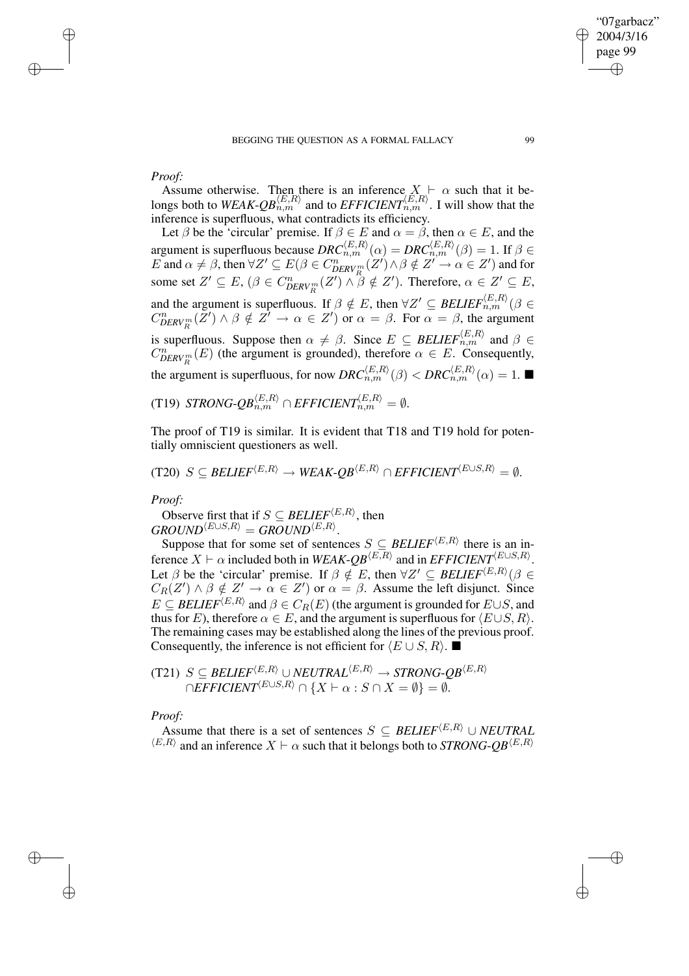# *Proof:*

✐

✐

Assume otherwise. Then there is an inference  $X \vdash \alpha$  such that it belongs both to  $WEAK-QB_{n,m}^{\langle E,R \rangle}$  and to  $EFFICIENT_{n,m}^{\langle E,R \rangle}$ . I will show that the inference is superfluous, what contradicts its efficiency.

Let  $\beta$  be the 'circular' premise. If  $\beta \in E$  and  $\alpha = \beta$ , then  $\alpha \in E$ , and the argument is superfluous because  $DRC_{n,m}^{\langle E,R\rangle}(\alpha) = DRC_{n,m}^{\langle E,R\rangle}(\beta) = 1$ . If  $\beta \in$  $E$  and  $\alpha \neq \beta$ , then  $\forall Z' \subseteq E(\beta \in C_{DERV_R^m}^n(Z') \land \beta \notin Z' \to \alpha \in Z')$  and for some set  $Z' \subseteq E$ ,  $(\beta \in C_{DERV_R^m}^n(Z') \land \beta \notin Z')$ . Therefore,  $\alpha \in Z' \subseteq E$ , and the argument is superfluous. If  $\beta \notin E$ , then  $\forall Z' \subseteq \text{BELIEF}_{n,m}^{(E,R)}(\beta \in$  $C_{DERV_R^m}^n(\bar{Z}') \wedge \beta \notin \bar{Z'} \to \alpha \in Z'$ ) or  $\alpha = \beta$ . For  $\alpha = \beta$ , the argument is superfluous. Suppose then  $\alpha \neq \beta$ . Since  $E \subseteq \text{BELIEF}_{n,m}^{(E,R)}$  and  $\beta \in$  $C_{DERV_R^m}^n(E)$  (the argument is grounded), therefore  $\alpha \in E$ . Consequently, the argument is superfluous, for now  $DRC_{n,m}^{(E,R)}(\beta) < DRC_{n,m}^{(E,R)}(\alpha) = 1$ .

(T19) *STRONG-QB*
$$
_{n,m}^{\langle E,R\rangle}
$$
  $\cap$  *EFFICIENT* $_{n,m}^{\langle E,R\rangle} = \emptyset$ .

The proof of T19 is similar. It is evident that T18 and T19 hold for potentially omniscient questioners as well.

 $(T20)$   $S \subseteq \text{BELIEF}^{\langle E, R \rangle} \rightarrow \text{WEAK-}OB^{\langle E, R \rangle} \cap \text{EFFICIENT}^{\langle E \cup S, R \rangle} = \emptyset.$ 

*Proof:*

Observe first that if  $S \subseteq \text{BELIEF}^{\langle E, R \rangle}$ , then  $\textit{GROUND}^{\langle E \cup S, R \rangle} = \textit{GROUND}^{\langle E, R \rangle}.$ 

Suppose that for some set of sentences  $S \subseteq \text{BELIEF}^{\langle E, R \rangle}$  there is an inference  $X \vdash \alpha$  included both in *WEAK-QB*<sup> $\langle E, R \rangle$ </sup> and in *EFFICIENT* $\langle E \cup S, R \rangle$ . Let  $\beta$  be the 'circular' premise. If  $\beta \notin E$ , then  $\forall Z' \subseteq \text{BELIEF}^{\langle E,R \rangle}(\beta \in$  $C_R(Z') \wedge \beta \notin Z' \to \alpha \in Z'$  or  $\alpha = \beta$ . Assume the left disjunct. Since  $E \subseteq \text{BELIEF}^{\langle E, R \rangle}$  and  $\beta \in C_R(E)$  (the argument is grounded for  $E \cup S$ , and thus for E), therefore  $\alpha \in E$ , and the argument is superfluous for  $\langle E \cup S, R \rangle$ . The remaining cases may be established along the lines of the previous proof. Consequently, the inference is not efficient for  $\langle E \cup S, R \rangle$ . ■

 $(T21)$   $S \subseteq BELIEF^{\langle E,R \rangle} \cup NEUTRAL^{\langle E,R \rangle} \rightarrow STRONG\text{-}QB^{\langle E,R \rangle}$  $\overline{C} = \overline{B}$   $\overline{B}$   $\overline{B}$   $\overline{C}$   $\overline{C}$   $\overline{C}$   $\overline{C}$   $\overline{C}$   $\overline{C}$   $\overline{C}$   $\overline{C}$   $\overline{C}$   $\overline{C}$   $\overline{C}$   $\overline{C}$   $\overline{C}$   $\overline{C}$   $\overline{C}$   $\overline{C}$   $\overline{C}$   $\overline{C}$   $\overline{C}$   $\overline{C}$   $\overline{C}$ 

# *Proof:*

✐

✐

Assume that there is a set of sentences  $S \subseteq \text{BELIEF}^{\langle E, R \rangle} \cup \text{NEUTRAL}$  $\langle E, R \rangle$  and an inference  $X \vdash \alpha$  such that it belongs both to *STRONG-QB* $\langle E, R \rangle$ 

"07garbacz" 2004/3/16 page 99

✐

✐

✐